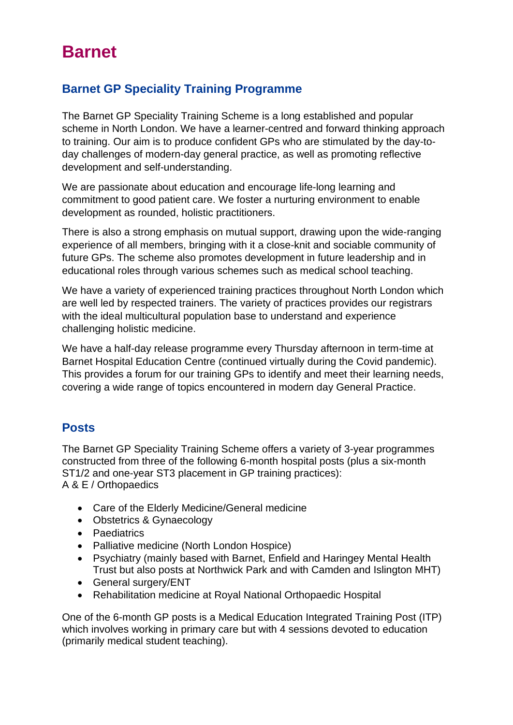# **Barnet**

# **Barnet GP Speciality Training Programme**

The Barnet GP Speciality Training Scheme is a long established and popular scheme in North London. We have a learner-centred and forward thinking approach to training. Our aim is to produce confident GPs who are stimulated by the day-today challenges of modern-day general practice, as well as promoting reflective development and self-understanding.

We are passionate about education and encourage life-long learning and commitment to good patient care. We foster a nurturing environment to enable development as rounded, holistic practitioners.

There is also a strong emphasis on mutual support, drawing upon the wide-ranging experience of all members, bringing with it a close-knit and sociable community of future GPs. The scheme also promotes development in future leadership and in educational roles through various schemes such as medical school teaching.

We have a variety of experienced training practices throughout North London which are well led by respected trainers. The variety of practices provides our registrars with the ideal multicultural population base to understand and experience challenging holistic medicine.

We have a half-day release programme every Thursday afternoon in term-time at Barnet Hospital Education Centre (continued virtually during the Covid pandemic). This provides a forum for our training GPs to identify and meet their learning needs, covering a wide range of topics encountered in modern day General Practice.

# **Posts**

The Barnet GP Speciality Training Scheme offers a variety of 3-year programmes constructed from three of the following 6-month hospital posts (plus a six-month ST1/2 and one-year ST3 placement in GP training practices): A & E / Orthopaedics

- Care of the Elderly Medicine/General medicine
- Obstetrics & Gynaecology
- Paediatrics
- Palliative medicine (North London Hospice)
- Psychiatry (mainly based with Barnet, Enfield and Haringey Mental Health Trust but also posts at Northwick Park and with Camden and Islington MHT)
- General surgery/ENT
- Rehabilitation medicine at Royal National Orthopaedic Hospital

One of the 6-month GP posts is a Medical Education Integrated Training Post (ITP) which involves working in primary care but with 4 sessions devoted to education (primarily medical student teaching).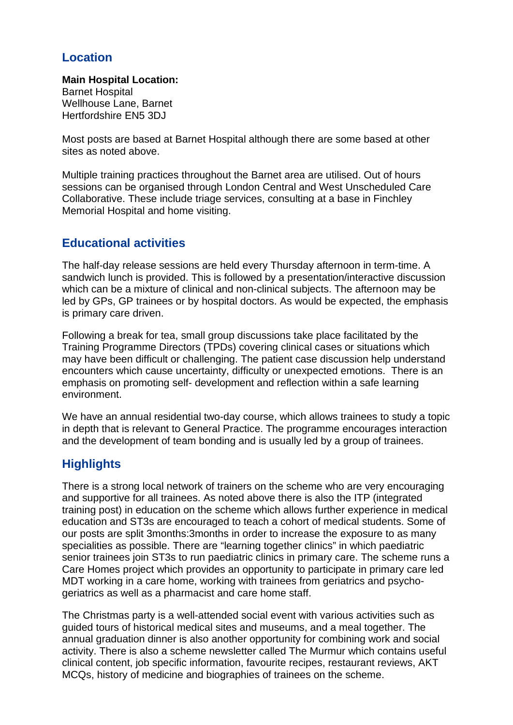# **Location**

**Main Hospital Location:** Barnet Hospital Wellhouse Lane, Barnet Hertfordshire EN5 3DJ

Most posts are based at Barnet Hospital although there are some based at other sites as noted above.

Multiple training practices throughout the Barnet area are utilised. Out of hours sessions can be organised through London Central and West Unscheduled Care Collaborative. These include triage services, consulting at a base in Finchley Memorial Hospital and home visiting.

# **Educational activities**

The half-day release sessions are held every Thursday afternoon in term-time. A sandwich lunch is provided. This is followed by a presentation/interactive discussion which can be a mixture of clinical and non-clinical subjects. The afternoon may be led by GPs, GP trainees or by hospital doctors. As would be expected, the emphasis is primary care driven.

Following a break for tea, small group discussions take place facilitated by the Training Programme Directors (TPDs) covering clinical cases or situations which may have been difficult or challenging. The patient case discussion help understand encounters which cause uncertainty, difficulty or unexpected emotions. There is an emphasis on promoting self- development and reflection within a safe learning environment.

We have an annual residential two-day course, which allows trainees to study a topic in depth that is relevant to General Practice. The programme encourages interaction and the development of team bonding and is usually led by a group of trainees.

# **Highlights**

There is a strong local network of trainers on the scheme who are very encouraging and supportive for all trainees. As noted above there is also the ITP (integrated training post) in education on the scheme which allows further experience in medical education and ST3s are encouraged to teach a cohort of medical students. Some of our posts are split 3months:3months in order to increase the exposure to as many specialities as possible. There are "learning together clinics" in which paediatric senior trainees join ST3s to run paediatric clinics in primary care. The scheme runs a Care Homes project which provides an opportunity to participate in primary care led MDT working in a care home, working with trainees from geriatrics and psychogeriatrics as well as a pharmacist and care home staff.

The Christmas party is a well-attended social event with various activities such as guided tours of historical medical sites and museums, and a meal together. The annual graduation dinner is also another opportunity for combining work and social activity. There is also a scheme newsletter called The Murmur which contains useful clinical content, job specific information, favourite recipes, restaurant reviews, AKT MCQs, history of medicine and biographies of trainees on the scheme.